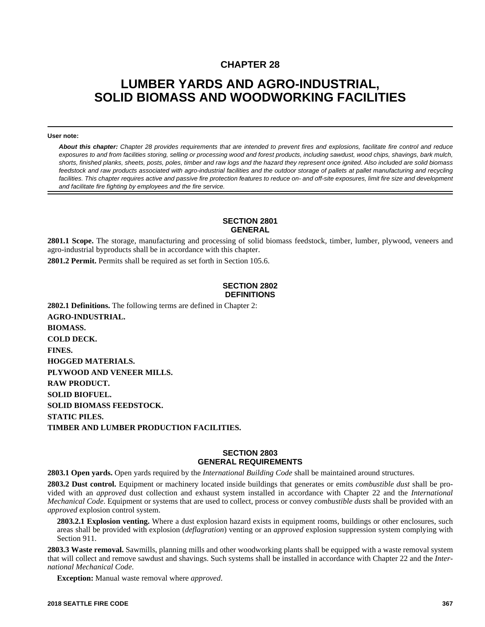## **CHAPTER 28**

# **LUMBER YARDS AND AGRO-INDUSTRIAL, SOLID BIOMASS AND WOODWORKING FACILITIES**

#### **User note:**

*About this chapter: Chapter 28 provides requirements that are intended to prevent fires and explosions, facilitate fire control and reduce exposures to and from facilities storing, selling or processing wood and forest products, including sawdust, wood chips, shavings, bark mulch, shorts, finished planks, sheets, posts, poles, timber and raw logs and the hazard they represent once ignited. Also included are solid biomass feedstock and raw products associated with agro-industrial facilities and the outdoor storage of pallets at pallet manufacturing and recycling facilities. This chapter requires active and passive fire protection features to reduce on- and off-site exposures, limit fire size and development and facilitate fire fighting by employees and the fire service.* 

#### **SECTION 2801 GENERAL**

**2801.1 Scope.** The storage, manufacturing and processing of solid biomass feedstock, timber, lumber, plywood, veneers and agro-industrial byproducts shall be in accordance with this chapter.

**2801.2 Permit.** Permits shall be required as set forth in Section 105.6.

#### **SECTION 2802 DEFINITIONS**

**2802.1 Definitions.** The following terms are defined in Chapter 2: **AGRO-INDUSTRIAL. BIOMASS. COLD DECK. FINES. HOGGED MATERIALS. PLYWOOD AND VENEER MILLS. RAW PRODUCT. SOLID BIOFUEL. SOLID BIOMASS FEEDSTOCK. STATIC PILES. TIMBER AND LUMBER PRODUCTION FACILITIES.**

#### **SECTION 2803 GENERAL REQUIREMENTS**

**2803.1 Open yards.** Open yards required by the *International Building Code* shall be maintained around structures.

**2803.2 Dust control.** Equipment or machinery located inside buildings that generates or emits *combustible dust* shall be provided with an *approved* dust collection and exhaust system installed in accordance with Chapter 22 and the *International Mechanical Code*. Equipment or systems that are used to collect, process or convey *combustible dusts* shall be provided with an *approved* explosion control system.

**2803.2.1 Explosion venting.** Where a dust explosion hazard exists in equipment rooms, buildings or other enclosures, such areas shall be provided with explosion (*deflagration*) venting or an *approved* explosion suppression system complying with Section 911.

**2803.3 Waste removal.** Sawmills, planning mills and other woodworking plants shall be equipped with a waste removal system that will collect and remove sawdust and shavings. Such systems shall be installed in accordance with Chapter 22 and the *International Mechanical Code*.

**Exception:** Manual waste removal where *approved*.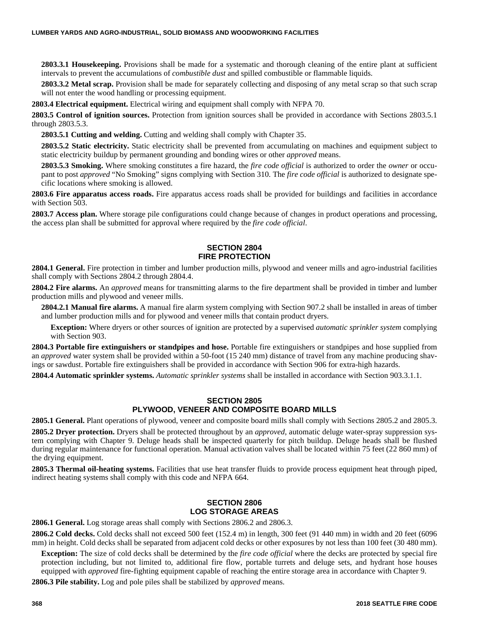**2803.3.1 Housekeeping.** Provisions shall be made for a systematic and thorough cleaning of the entire plant at sufficient intervals to prevent the accumulations of *combustible dust* and spilled combustible or flammable liquids.

**2803.3.2 Metal scrap.** Provision shall be made for separately collecting and disposing of any metal scrap so that such scrap will not enter the wood handling or processing equipment.

**2803.4 Electrical equipment.** Electrical wiring and equipment shall comply with NFPA 70.

**2803.5 Control of ignition sources.** Protection from ignition sources shall be provided in accordance with Sections 2803.5.1 through 2803.5.3.

**2803.5.1 Cutting and welding.** Cutting and welding shall comply with Chapter 35.

**2803.5.2 Static electricity.** Static electricity shall be prevented from accumulating on machines and equipment subject to static electricity buildup by permanent grounding and bonding wires or other *approved* means.

**2803.5.3 Smoking.** Where smoking constitutes a fire hazard, the *fire code official* is authorized to order the *owner* or occupant to post *approved* "No Smoking" signs complying with Section 310. The *fire code official* is authorized to designate specific locations where smoking is allowed.

**2803.6 Fire apparatus access roads.** Fire apparatus access roads shall be provided for buildings and facilities in accordance with Section 503.

**2803.7 Access plan.** Where storage pile configurations could change because of changes in product operations and processing, the access plan shall be submitted for approval where required by the *fire code official*.

#### **SECTION 2804 FIRE PROTECTION**

**2804.1 General.** Fire protection in timber and lumber production mills, plywood and veneer mills and agro-industrial facilities shall comply with Sections 2804.2 through 2804.4.

**2804.2 Fire alarms.** An *approved* means for transmitting alarms to the fire department shall be provided in timber and lumber production mills and plywood and veneer mills.

**2804.2.1 Manual fire alarms.** A manual fire alarm system complying with Section 907.2 shall be installed in areas of timber and lumber production mills and for plywood and veneer mills that contain product dryers.

**Exception:** Where dryers or other sources of ignition are protected by a supervised *automatic sprinkler system* complying with Section 903.

**2804.3 Portable fire extinguishers or standpipes and hose.** Portable fire extinguishers or standpipes and hose supplied from an *approved* water system shall be provided within a 50-foot (15 240 mm) distance of travel from any machine producing shavings or sawdust. Portable fire extinguishers shall be provided in accordance with Section 906 for extra-high hazards.

**2804.4 Automatic sprinkler systems.** *Automatic sprinkler systems* shall be installed in accordance with Section 903.3.1.1.

### **SECTION 2805 PLYWOOD, VENEER AND COMPOSITE BOARD MILLS**

**2805.1 General.** Plant operations of plywood, veneer and composite board mills shall comply with Sections 2805.2 and 2805.3.

**2805.2 Dryer protection.** Dryers shall be protected throughout by an *approved*, automatic deluge water-spray suppression system complying with Chapter 9. Deluge heads shall be inspected quarterly for pitch buildup. Deluge heads shall be flushed during regular maintenance for functional operation. Manual activation valves shall be located within 75 feet (22 860 mm) of the drying equipment.

**2805.3 Thermal oil-heating systems.** Facilities that use heat transfer fluids to provide process equipment heat through piped, indirect heating systems shall comply with this code and NFPA 664.

### **SECTION 2806 LOG STORAGE AREAS**

**2806.1 General.** Log storage areas shall comply with Sections 2806.2 and 2806.3.

**2806.2 Cold decks.** Cold decks shall not exceed 500 feet (152.4 m) in length, 300 feet (91 440 mm) in width and 20 feet (6096 mm) in height. Cold decks shall be separated from adjacent cold decks or other exposures by not less than 100 feet (30 480 mm).

**Exception:** The size of cold decks shall be determined by the *fire code official* where the decks are protected by special fire protection including, but not limited to, additional fire flow, portable turrets and deluge sets, and hydrant hose houses equipped with *approved* fire-fighting equipment capable of reaching the entire storage area in accordance with Chapter 9.

**2806.3 Pile stability.** Log and pole piles shall be stabilized by *approved* means.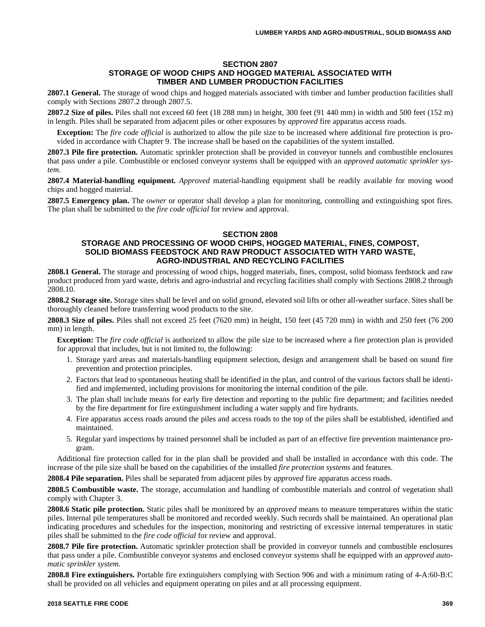#### **SECTION 2807 STORAGE OF WOOD CHIPS AND HOGGED MATERIAL ASSOCIATED WITH TIMBER AND LUMBER PRODUCTION FACILITIES**

**2807.1 General.** The storage of wood chips and hogged materials associated with timber and lumber production facilities shall comply with Sections 2807.2 through 2807.5.

**2807.2 Size of piles.** Piles shall not exceed 60 feet (18 288 mm) in height, 300 feet (91 440 mm) in width and 500 feet (152 m) in length. Piles shall be separated from adjacent piles or other exposures by *approved* fire apparatus access roads.

**Exception:** The *fire code official* is authorized to allow the pile size to be increased where additional fire protection is provided in accordance with Chapter 9. The increase shall be based on the capabilities of the system installed.

**2807.3 Pile fire protection.** Automatic sprinkler protection shall be provided in conveyor tunnels and combustible enclosures that pass under a pile. Combustible or enclosed conveyor systems shall be equipped with an *approved automatic sprinkler system*.

**2807.4 Material-handling equipment.** *Approved* material-handling equipment shall be readily available for moving wood chips and hogged material.

**2807.5 Emergency plan.** The *owner* or operator shall develop a plan for monitoring, controlling and extinguishing spot fires. The plan shall be submitted to the *fire code official* for review and approval.

#### **SECTION 2808**

#### **STORAGE AND PROCESSING OF WOOD CHIPS, HOGGED MATERIAL, FINES, COMPOST, SOLID BIOMASS FEEDSTOCK AND RAW PRODUCT ASSOCIATED WITH YARD WASTE, AGRO-INDUSTRIAL AND RECYCLING FACILITIES**

**2808.1 General.** The storage and processing of wood chips, hogged materials, fines, compost, solid biomass feedstock and raw product produced from yard waste, debris and agro-industrial and recycling facilities shall comply with Sections 2808.2 through 2808.10.

**2808.2 Storage site.** Storage sites shall be level and on solid ground, elevated soil lifts or other all-weather surface. Sites shall be thoroughly cleaned before transferring wood products to the site.

**2808.3 Size of piles.** Piles shall not exceed 25 feet (7620 mm) in height, 150 feet (45 720 mm) in width and 250 feet (76 200 mm) in length.

**Exception:** The *fire code official* is authorized to allow the pile size to be increased where a fire protection plan is provided for approval that includes, but is not limited to, the following:

- 1. Storage yard areas and materials-handling equipment selection, design and arrangement shall be based on sound fire prevention and protection principles.
- 2. Factors that lead to spontaneous heating shall be identified in the plan, and control of the various factors shall be identified and implemented, including provisions for monitoring the internal condition of the pile.
- 3. The plan shall include means for early fire detection and reporting to the public fire department; and facilities needed by the fire department for fire extinguishment including a water supply and fire hydrants.
- 4. Fire apparatus access roads around the piles and access roads to the top of the piles shall be established, identified and maintained.
- 5. Regular yard inspections by trained personnel shall be included as part of an effective fire prevention maintenance program.

Additional fire protection called for in the plan shall be provided and shall be installed in accordance with this code. The increase of the pile size shall be based on the capabilities of the installed *fire protection systems* and features.

**2808.4 Pile separation.** Piles shall be separated from adjacent piles by *approved* fire apparatus access roads.

**2808.5 Combustible waste.** The storage, accumulation and handling of combustible materials and control of vegetation shall comply with Chapter 3.

**2808.6 Static pile protection.** Static piles shall be monitored by an *approved* means to measure temperatures within the static piles. Internal pile temperatures shall be monitored and recorded weekly. Such records shall be maintained. An operational plan indicating procedures and schedules for the inspection, monitoring and restricting of excessive internal temperatures in static piles shall be submitted to the *fire code official* for review and approval.

**2808.7 Pile fire protection.** Automatic sprinkler protection shall be provided in conveyor tunnels and combustible enclosures that pass under a pile. Combustible conveyor systems and enclosed conveyor systems shall be equipped with an *approved automatic sprinkler system*.

**2808.8 Fire extinguishers.** Portable fire extinguishers complying with Section 906 and with a minimum rating of 4-A:60-B:C shall be provided on all vehicles and equipment operating on piles and at all processing equipment.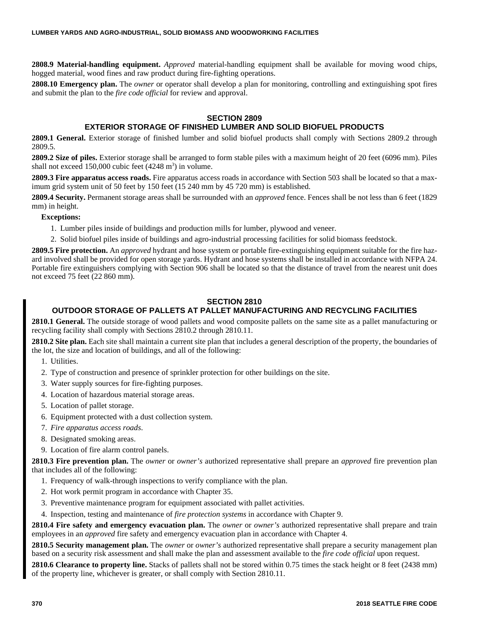**2808.9 Material-handling equipment.** *Approved* material-handling equipment shall be available for moving wood chips, hogged material, wood fines and raw product during fire-fighting operations.

**2808.10 Emergency plan.** The *owner* or operator shall develop a plan for monitoring, controlling and extinguishing spot fires and submit the plan to the *fire code official* for review and approval.

## **SECTION 2809**

## **EXTERIOR STORAGE OF FINISHED LUMBER AND SOLID BIOFUEL PRODUCTS**

**2809.1 General.** Exterior storage of finished lumber and solid biofuel products shall comply with Sections 2809.2 through 2809.5.

**2809.2 Size of piles.** Exterior storage shall be arranged to form stable piles with a maximum height of 20 feet (6096 mm). Piles shall not exceed  $150,000$  cubic feet  $(4248 \text{ m}^3)$  in volume.

**2809.3 Fire apparatus access roads.** Fire apparatus access roads in accordance with Section 503 shall be located so that a maximum grid system unit of 50 feet by 150 feet (15 240 mm by 45 720 mm) is established.

**2809.4 Security.** Permanent storage areas shall be surrounded with an *approved* fence. Fences shall be not less than 6 feet (1829 mm) in height.

#### **Exceptions:**

- 1. Lumber piles inside of buildings and production mills for lumber, plywood and veneer.
- 2. Solid biofuel piles inside of buildings and agro-industrial processing facilities for solid biomass feedstock.

**2809.5 Fire protection.** An *approved* hydrant and hose system or portable fire-extinguishing equipment suitable for the fire hazard involved shall be provided for open storage yards. Hydrant and hose systems shall be installed in accordance with NFPA 24. Portable fire extinguishers complying with Section 906 shall be located so that the distance of travel from the nearest unit does not exceed 75 feet (22 860 mm).

## **SECTION 2810**

## **OUTDOOR STORAGE OF PALLETS AT PALLET MANUFACTURING AND RECYCLING FACILITIES**

**2810.1 General.** The outside storage of wood pallets and wood composite pallets on the same site as a pallet manufacturing or recycling facility shall comply with Sections 2810.2 through 2810.11.

**2810.2 Site plan.** Each site shall maintain a current site plan that includes a general description of the property, the boundaries of the lot, the size and location of buildings, and all of the following:

- 1. Utilities.
- 2. Type of construction and presence of sprinkler protection for other buildings on the site.
- 3. Water supply sources for fire-fighting purposes.
- 4. Location of hazardous material storage areas.
- 5. Location of pallet storage.
- 6. Equipment protected with a dust collection system.
- 7. *Fire apparatus access roads*.
- 8. Designated smoking areas.
- 9. Location of fire alarm control panels.

**2810.3 Fire prevention plan.** The *owner* or *owner's* authorized representative shall prepare an *approved* fire prevention plan that includes all of the following:

- 1. Frequency of walk-through inspections to verify compliance with the plan.
- 2. Hot work permit program in accordance with Chapter 35.
- 3. Preventive maintenance program for equipment associated with pallet activities.
- 4. Inspection, testing and maintenance of *fire protection systems* in accordance with Chapter 9.

**2810.4 Fire safety and emergency evacuation plan.** The *owner* or *owner's* authorized representative shall prepare and train employees in an *approved* fire safety and emergency evacuation plan in accordance with Chapter 4.

**2810.5 Security management plan.** The *owner* or *owner's* authorized representative shall prepare a security management plan based on a security risk assessment and shall make the plan and assessment available to the *fire code official* upon request.

**2810.6 Clearance to property line.** Stacks of pallets shall not be stored within 0.75 times the stack height or 8 feet (2438 mm) of the property line, whichever is greater, or shall comply with Section 2810.11.